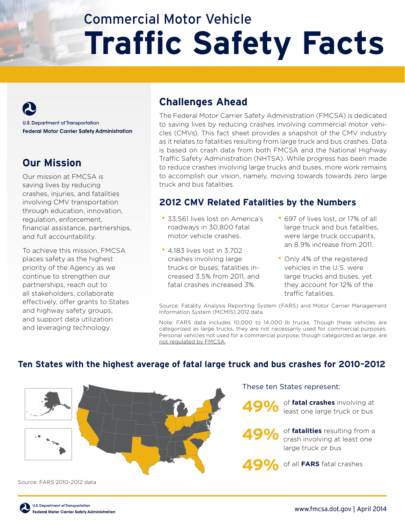# Commercial Motor Vehicle **Traffic Safety Facts**

**U.S. Department of Transportation Federal Motor Carrier Safety Administration** 

# **Our Mission**

Our mission at FMCSA is saving lives by reducing crashes, injuries, and fatalities involving CMV transportation through education, innovation, regulation, enforcement, financial assistance, partnerships, and full accountability.

To achieve this mission, FMCSA places safety as the highest priority of the Agency as we continue to strengthen our partnerships, reach out to all stakeholders, collaborate effectively, offer grants to States and highway safety groups, and support data utilization and leveraging technology.

## **Challenges Ahead**

The Federal Motor Carrier Safety Administration (FMCSA) is dedicated to saving lives by reducing crashes involving commercial motor vehicles (CMVs). This fact sheet provides a snapshot of the CMV industry as it relates to fatalities resulting from large truck and bus crashes. Data is based on crash data from both FMCSA and the National Highway Traffic Safety Administration (NHTSA). While progress has been made to reduce crashes involving large trucks and buses, more work remains to accomplish our vision, namely, moving towards towards zero large truck and bus fatalities.

## **2012 CMV Related Fatalities by the Numbers**

- 33,561 lives lost on America's roadways in 30,800 fatal motor vehicle crashes.
- 4,183 lives lost in 3,702 crashes involving large trucks or buses; fatalities increased 3.5% from 2011, and fatal crashes increased 3%.
- 697 of lives lost, or 17% of all large truck and bus fatalities, were large truck occupants, an 8.9% increase from 2011.
- Only 4% of the registered vehicles in the U.S. were large trucks and buses, yet they account for 12% of the traffic fatalities.

Source: Fatality Analysis Reporting System (FARS) and Motor Carrier Management Information System (MCMIS) 2012 data

Note: FARS data includes 10,000 to 14,000 lb trucks. Though these vehicles are categorized as large trucks, they are not necessarily used for commercial purposes. Personal vehicles not used for a commercial purpose, though categorized as large, are not regulated by FMCSA.



#### **Ten States with the highest average of fatal large truck and bus crashes for 2010–2012**

Source: FARS 2010-2012 data

These ten States represent:

**49%** of **fatal crashes** involving at least one large truck or bus

**49%** of **fatalities** resulting from a crash involving at least one large truck or bus

**49%** of all **FARS** fatal crashes